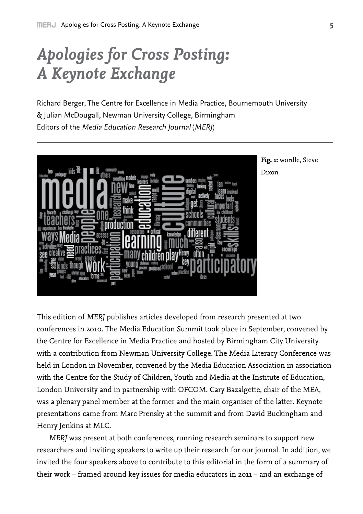# *Apologies for Cross Posting: A Keynote Exchange*

Richard Berger, The Centre for Excellence in Media Practice, Bournemouth University & Julian McDougall, Newman University College, Birmingham Editors of the Media Education Research Journal (MERJ)



**Fig. 1:** wordle, Steve Dixon

This edition of *MERJ* publishes articles developed from research presented at two conferences in 2010. The Media Education Summit took place in September, convened by the Centre for Excellence in Media Practice and hosted by Birmingham City University with a contribution from Newman University College. The Media Literacy Conference was held in London in November, convened by the Media Education Association in association with the Centre for the Study of Children, Youth and Media at the Institute of Education, London University and in partnership with OFCOM. Cary Bazalgette, chair of the MEA, was a plenary panel member at the former and the main organiser of the latter. Keynote presentations came from Marc Prensky at the summit and from David Buckingham and Henry Jenkins at MLC.

*MERJ* was present at both conferences, running research seminars to support new researchers and inviting speakers to write up their research for our journal. In addition, we invited the four speakers above to contribute to this editorial in the form of a summary of their work – framed around key issues for media educators in 2011 – and an exchange of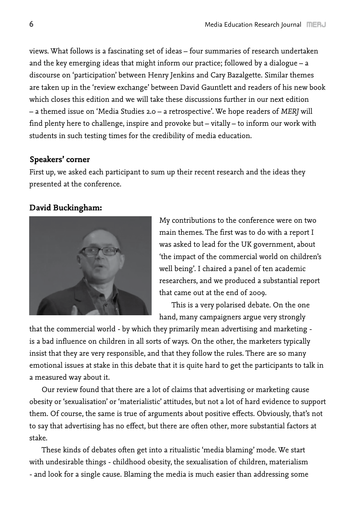views. What follows is a fascinating set of ideas – four summaries of research undertaken and the key emerging ideas that might inform our practice; followed by a dialogue – a discourse on 'participation' between Henry Jenkins and Cary Bazalgette. Similar themes are taken up in the 'review exchange' between David Gauntlett and readers of his new book which closes this edition and we will take these discussions further in our next edition – a themed issue on 'Media Studies 2.0 – a retrospective'. We hope readers of *MERJ* will find plenty here to challenge, inspire and provoke but – vitally – to inform our work with students in such testing times for the credibility of media education.

## **Speakers' corner**

First up, we asked each participant to sum up their recent research and the ideas they presented at the conference.

# **David Buckingham:**



My contributions to the conference were on two main themes. The first was to do with a report I was asked to lead for the UK government, about 'the impact of the commercial world on children's well being'. I chaired a panel of ten academic researchers, and we produced a substantial report that came out at the end of 2009.

This is a very polarised debate. On the one hand, many campaigners argue very strongly

that the commercial world - by which they primarily mean advertising and marketing is a bad influence on children in all sorts of ways. On the other, the marketers typically insist that they are very responsible, and that they follow the rules. There are so many emotional issues at stake in this debate that it is quite hard to get the participants to talk in a measured way about it.

Our review found that there are a lot of claims that advertising or marketing cause obesity or 'sexualisation' or 'materialistic' attitudes, but not a lot of hard evidence to support them. Of course, the same is true of arguments about positive effects. Obviously, that's not to say that advertising has no effect, but there are often other, more substantial factors at stake.

These kinds of debates often get into a ritualistic 'media blaming' mode. We start with undesirable things - childhood obesity, the sexualisation of children, materialism - and look for a single cause. Blaming the media is much easier than addressing some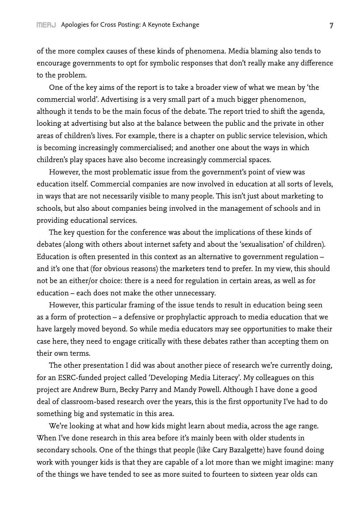of the more complex causes of these kinds of phenomena. Media blaming also tends to encourage governments to opt for symbolic responses that don't really make any difference to the problem.

One of the key aims of the report is to take a broader view of what we mean by 'the commercial world'. Advertising is a very small part of a much bigger phenomenon, although it tends to be the main focus of the debate. The report tried to shift the agenda, looking at advertising but also at the balance between the public and the private in other areas of children's lives. For example, there is a chapter on public service television, which is becoming increasingly commercialised; and another one about the ways in which children's play spaces have also become increasingly commercial spaces.

However, the most problematic issue from the government's point of view was education itself. Commercial companies are now involved in education at all sorts of levels, in ways that are not necessarily visible to many people. This isn't just about marketing to schools, but also about companies being involved in the management of schools and in providing educational services.

The key question for the conference was about the implications of these kinds of debates (along with others about internet safety and about the 'sexualisation' of children). Education is often presented in this context as an alternative to government regulation – and it's one that (for obvious reasons) the marketers tend to prefer. In my view, this should not be an either/or choice: there is a need for regulation in certain areas, as well as for education – each does not make the other unnecessary.

However, this particular framing of the issue tends to result in education being seen as a form of protection – a defensive or prophylactic approach to media education that we have largely moved beyond. So while media educators may see opportunities to make their case here, they need to engage critically with these debates rather than accepting them on their own terms.

The other presentation I did was about another piece of research we're currently doing, for an ESRC-funded project called 'Developing Media Literacy'. My colleagues on this project are Andrew Burn, Becky Parry and Mandy Powell. Although I have done a good deal of classroom-based research over the years, this is the first opportunity I've had to do something big and systematic in this area.

We're looking at what and how kids might learn about media, across the age range. When I've done research in this area before it's mainly been with older students in secondary schools. One of the things that people (like Cary Bazalgette) have found doing work with younger kids is that they are capable of a lot more than we might imagine: many of the things we have tended to see as more suited to fourteen to sixteen year olds can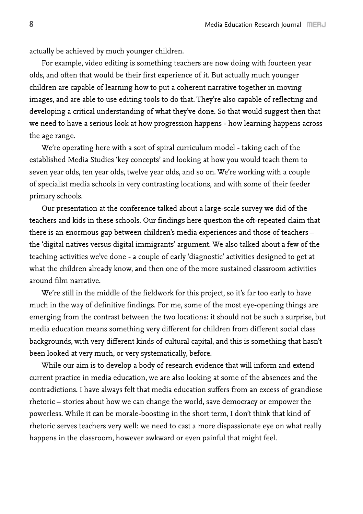actually be achieved by much younger children.

For example, video editing is something teachers are now doing with fourteen year olds, and often that would be their first experience of it. But actually much younger children are capable of learning how to put a coherent narrative together in moving images, and are able to use editing tools to do that. They're also capable of reflecting and developing a critical understanding of what they've done. So that would suggest then that we need to have a serious look at how progression happens - how learning happens across the age range.

We're operating here with a sort of spiral curriculum model - taking each of the established Media Studies 'key concepts' and looking at how you would teach them to seven year olds, ten year olds, twelve year olds, and so on. We're working with a couple of specialist media schools in very contrasting locations, and with some of their feeder primary schools.

Our presentation at the conference talked about a large-scale survey we did of the teachers and kids in these schools. Our findings here question the oft-repeated claim that there is an enormous gap between children's media experiences and those of teachers – the 'digital natives versus digital immigrants' argument. We also talked about a few of the teaching activities we've done - a couple of early 'diagnostic' activities designed to get at what the children already know, and then one of the more sustained classroom activities around film narrative.

We're still in the middle of the fieldwork for this project, so it's far too early to have much in the way of definitive findings. For me, some of the most eye-opening things are emerging from the contrast between the two locations: it should not be such a surprise, but media education means something very different for children from different social class backgrounds, with very different kinds of cultural capital, and this is something that hasn't been looked at very much, or very systematically, before.

While our aim is to develop a body of research evidence that will inform and extend current practice in media education, we are also looking at some of the absences and the contradictions. I have always felt that media education suffers from an excess of grandiose rhetoric – stories about how we can change the world, save democracy or empower the powerless. While it can be morale-boosting in the short term, I don't think that kind of rhetoric serves teachers very well: we need to cast a more dispassionate eye on what really happens in the classroom, however awkward or even painful that might feel.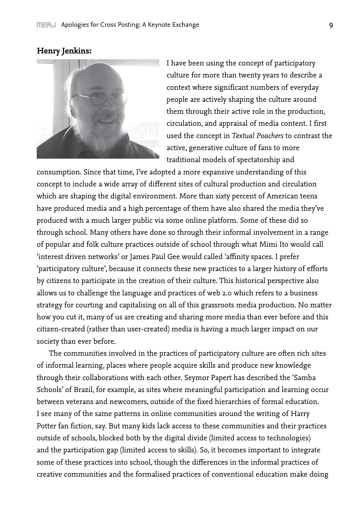# **Henry Jenkins:**



I have been using the concept of participatory culture for more than twenty years to describe a context where significant numbers of everyday people are actively shaping the culture around them through their active role in the production, circulation, and appraisal of media content. I first used the concept in *Textual Poachers* to contrast the active, generative culture of fans to more traditional models of spectatorship and

consumption. Since that time, I've adopted a more expansive understanding of this concept to include a wide array of different sites of cultural production and circulation which are shaping the digital environment. More than sixty percent of American teens have produced media and a high percentage of them have also shared the media they've produced with a much larger public via some online platform. Some of these did so through school. Many others have done so through their informal involvement in a range of popular and folk culture practices outside of school through what Mimi Ito would call 'interest driven networks' or James Paul Gee would called 'affinity spaces. I prefer 'participatory culture', because it connects these new practices to a larger history of efforts by citizens to participate in the creation of their culture. This historical perspective also allows us to challenge the language and practices of web 2.0 which refers to a business strategy for courting and capitalising on all of this grassroots media production. No matter how you cut it, many of us are creating and sharing more media than ever before and this citizen-created (rather than user-created) media is having a much larger impact on our society than ever before.

The communities involved in the practices of participatory culture are often rich sites of informal learning, places where people acquire skills and produce new knowledge through their collaborations with each other. Seymor Papert has described the 'Samba Schools' of Brazil, for example, as sites where meaningful participation and learning occur between veterans and newcomers, outside of the fixed hierarchies of formal education. I see many of the same patterns in online communities around the writing of Harry Potter fan fiction, say. But many kids lack access to these communities and their practices outside of schools, blocked both by the digital divide (limited access to technologies) and the participation gap (limited access to skills). So, it becomes important to integrate some of these practices into school, though the differences in the informal practices of creative communities and the formalised practices of conventional education make doing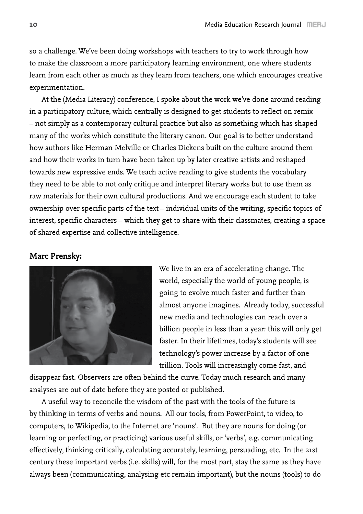so a challenge. We've been doing workshops with teachers to try to work through how to make the classroom a more participatory learning environment, one where students learn from each other as much as they learn from teachers, one which encourages creative experimentation.

At the (Media Literacy) conference, I spoke about the work we've done around reading in a participatory culture, which centrally is designed to get students to reflect on remix – not simply as a contemporary cultural practice but also as something which has shaped many of the works which constitute the literary canon. Our goal is to better understand how authors like Herman Melville or Charles Dickens built on the culture around them and how their works in turn have been taken up by later creative artists and reshaped towards new expressive ends. We teach active reading to give students the vocabulary they need to be able to not only critique and interpret literary works but to use them as raw materials for their own cultural productions. And we encourage each student to take ownership over specific parts of the text – individual units of the writing, specific topics of interest, specific characters – which they get to share with their classmates, creating a space of shared expertise and collective intelligence.

## **Marc Prensky:**



We live in an era of accelerating change. The world, especially the world of young people, is going to evolve much faster and further than almost anyone imagines. Already today, successful new media and technologies can reach over a billion people in less than a year: this will only get faster. In their lifetimes, today's students will see technology's power increase by a factor of one trillion. Tools will increasingly come fast, and

disappear fast. Observers are often behind the curve. Today much research and many analyses are out of date before they are posted or published.

A useful way to reconcile the wisdom of the past with the tools of the future is by thinking in terms of verbs and nouns. All our tools, from PowerPoint, to video, to computers, to Wikipedia, to the Internet are 'nouns'. But they are nouns for doing (or learning or perfecting, or practicing) various useful skills, or 'verbs', e.g. communicating effectively, thinking critically, calculating accurately, learning, persuading, etc. In the 21st century these important verbs (i.e. skills) will, for the most part, stay the same as they have always been (communicating, analysing etc remain important), but the nouns (tools) to do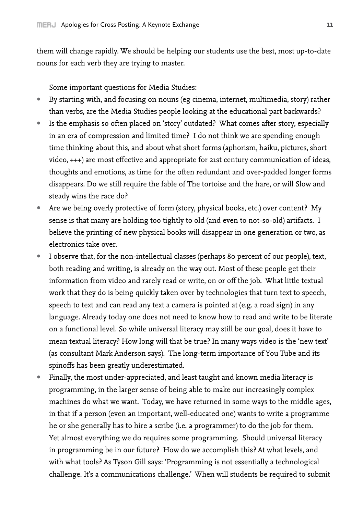them will change rapidly. We should be helping our students use the best, most up-to-date nouns for each verb they are trying to master.

Some important questions for Media Studies:

- By starting with, and focusing on nouns (eg cinema, internet, multimedia, story) rather than verbs, are the Media Studies people looking at the educational part backwards?
- Is the emphasis so often placed on 'story' outdated? What comes after story, especially in an era of compression and limited time? I do not think we are spending enough time thinking about this, and about what short forms (aphorism, haiku, pictures, short video, +++) are most effective and appropriate for 21st century communication of ideas, thoughts and emotions, as time for the often redundant and over-padded longer forms disappears. Do we still require the fable of The tortoise and the hare, or will Slow and steady wins the race do?
- Are we being overly protective of form (story, physical books, etc.) over content? My sense is that many are holding too tightly to old (and even to not-so-old) artifacts. I believe the printing of new physical books will disappear in one generation or two, as electronics take over.
- I observe that, for the non-intellectual classes (perhaps 80 percent of our people), text, both reading and writing, is already on the way out. Most of these people get their information from video and rarely read or write, on or off the job. What little textual work that they do is being quickly taken over by technologies that turn text to speech, speech to text and can read any text a camera is pointed at (e.g. a road sign) in any language. Already today one does not need to know how to read and write to be literate on a functional level. So while universal literacy may still be our goal, does it have to mean textual literacy? How long will that be true? In many ways video is the 'new text' (as consultant Mark Anderson says). The long-term importance of You Tube and its spinoffs has been greatly underestimated.
- Finally, the most under-appreciated, and least taught and known media literacy is programming, in the larger sense of being able to make our increasingly complex machines do what we want. Today, we have returned in some ways to the middle ages, in that if a person (even an important, well-educated one) wants to write a programme he or she generally has to hire a scribe (i.e. a programmer) to do the job for them. Yet almost everything we do requires some programming. Should universal literacy in programming be in our future? How do we accomplish this? At what levels, and with what tools? As Tyson Gill says: 'Programming is not essentially a technological challenge. It's a communications challenge.' When will students be required to submit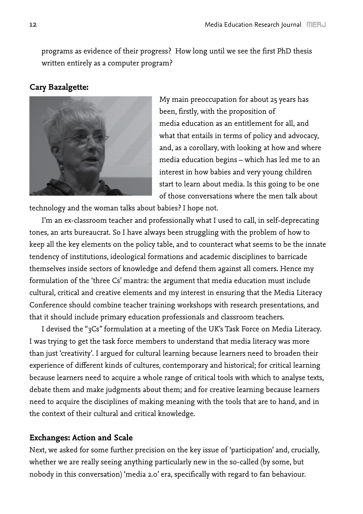programs as evidence of their progress? How long until we see the first PhD thesis written entirely as a computer program?

## **Cary Bazalgette:**



My main preoccupation for about 25 years has been, firstly, with the proposition of media education as an entitlement for all, and what that entails in terms of policy and advocacy, and, as a corollary, with looking at how and where media education begins – which has led me to an interest in how babies and very young children start to learn about media. Is this going to be one of those conversations where the men talk about

technology and the woman talks about babies? I hope not.

I'm an ex-classroom teacher and professionally what I used to call, in self-deprecating tones, an arts bureaucrat. So I have always been struggling with the problem of how to keep all the key elements on the policy table, and to counteract what seems to be the innate tendency of institutions, ideological formations and academic disciplines to barricade themselves inside sectors of knowledge and defend them against all comers. Hence my formulation of the 'three Cs' mantra: the argument that media education must include cultural, critical and creative elements and my interest in ensuring that the Media Literacy Conference should combine teacher training workshops with research presentations, and that it should include primary education professionals and classroom teachers.

I devised the "3Cs" formulation at a meeting of the UK's Task Force on Media Literacy. I was trying to get the task force members to understand that media literacy was more than just 'creativity'. I argued for cultural learning because learners need to broaden their experience of different kinds of cultures, contemporary and historical; for critical learning because learners need to acquire a whole range of critical tools with which to analyse texts, debate them and make judgments about them; and for creative learning because learners need to acquire the disciplines of making meaning with the tools that are to hand, and in the context of their cultural and critical knowledge.

# **Exchanges: Action and Scale**

Next, we asked for some further precision on the key issue of 'participation' and, crucially, whether we are really seeing anything particularly new in the so-called (by some, but nobody in this conversation) 'media 2.0' era, specifically with regard to fan behaviour.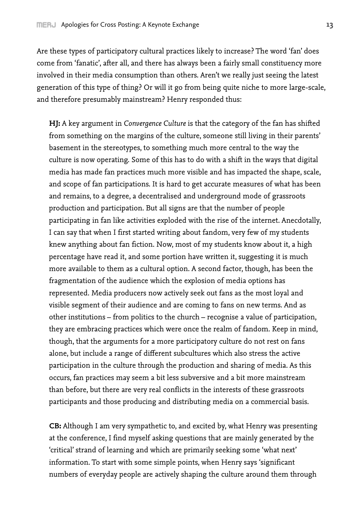Are these types of participatory cultural practices likely to increase? The word 'fan' does come from 'fanatic', after all, and there has always been a fairly small constituency more involved in their media consumption than others. Aren't we really just seeing the latest generation of this type of thing? Or will it go from being quite niche to more large-scale, and therefore presumably mainstream? Henry responded thus:

**HJ:** A key argument in *Convergence Culture* is that the category of the fan has shifted from something on the margins of the culture, someone still living in their parents' basement in the stereotypes, to something much more central to the way the culture is now operating. Some of this has to do with a shift in the ways that digital media has made fan practices much more visible and has impacted the shape, scale, and scope of fan participations. It is hard to get accurate measures of what has been and remains, to a degree, a decentralised and underground mode of grassroots production and participation. But all signs are that the number of people participating in fan like activities exploded with the rise of the internet. Anecdotally, I can say that when I first started writing about fandom, very few of my students knew anything about fan fiction. Now, most of my students know about it, a high percentage have read it, and some portion have written it, suggesting it is much more available to them as a cultural option. A second factor, though, has been the fragmentation of the audience which the explosion of media options has represented. Media producers now actively seek out fans as the most loyal and visible segment of their audience and are coming to fans on new terms. And as other institutions – from politics to the church – recognise a value of participation, they are embracing practices which were once the realm of fandom. Keep in mind, though, that the arguments for a more participatory culture do not rest on fans alone, but include a range of different subcultures which also stress the active participation in the culture through the production and sharing of media. As this occurs, fan practices may seem a bit less subversive and a bit more mainstream than before, but there are very real conflicts in the interests of these grassroots participants and those producing and distributing media on a commercial basis.

**CB:** Although I am very sympathetic to, and excited by, what Henry was presenting at the conference, I find myself asking questions that are mainly generated by the 'critical' strand of learning and which are primarily seeking some 'what next' information. To start with some simple points, when Henry says 'significant numbers of everyday people are actively shaping the culture around them through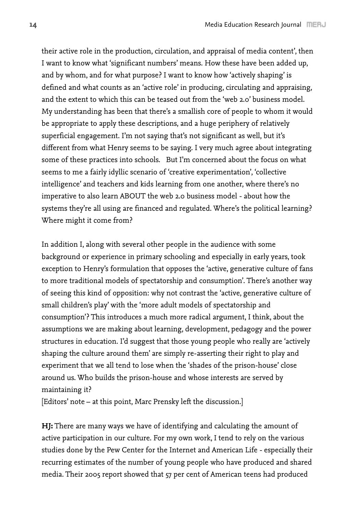their active role in the production, circulation, and appraisal of media content', then I want to know what 'significant numbers' means. How these have been added up, and by whom, and for what purpose? I want to know how 'actively shaping' is defined and what counts as an 'active role' in producing, circulating and appraising, and the extent to which this can be teased out from the 'web 2.0' business model. My understanding has been that there's a smallish core of people to whom it would be appropriate to apply these descriptions, and a huge periphery of relatively superficial engagement. I'm not saying that's not significant as well, but it's different from what Henry seems to be saying. I very much agree about integrating some of these practices into schools. But I'm concerned about the focus on what seems to me a fairly idyllic scenario of 'creative experimentation', 'collective intelligence' and teachers and kids learning from one another, where there's no imperative to also learn ABOUT the web 2.0 business model - about how the systems they're all using are financed and regulated. Where's the political learning? Where might it come from?

In addition I, along with several other people in the audience with some background or experience in primary schooling and especially in early years, took exception to Henry's formulation that opposes the 'active, generative culture of fans to more traditional models of spectatorship and consumption'. There's another way of seeing this kind of opposition: why not contrast the 'active, generative culture of small children's play' with the 'more adult models of spectatorship and consumption'? This introduces a much more radical argument, I think, about the assumptions we are making about learning, development, pedagogy and the power structures in education. I'd suggest that those young people who really are 'actively shaping the culture around them' are simply re-asserting their right to play and experiment that we all tend to lose when the 'shades of the prison-house' close around us. Who builds the prison-house and whose interests are served by maintaining it?

[Editors' note – at this point, Marc Prensky left the discussion.]

**HJ:** There are many ways we have of identifying and calculating the amount of active participation in our culture. For my own work, I tend to rely on the various studies done by the Pew Center for the Internet and American Life - especially their recurring estimates of the number of young people who have produced and shared media. Their 2005 report showed that 57 per cent of American teens had produced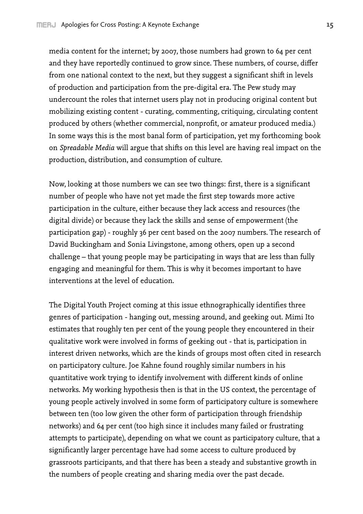media content for the internet; by 2007, those numbers had grown to 64 per cent and they have reportedly continued to grow since. These numbers, of course, differ from one national context to the next, but they suggest a significant shift in levels of production and participation from the pre-digital era. The Pew study may undercount the roles that internet users play not in producing original content but mobilizing existing content - curating, commenting, critiquing, circulating content produced by others (whether commercial, nonprofit, or amateur produced media.) In some ways this is the most banal form of participation, yet my forthcoming book on *Spreadable Media* will argue that shifts on this level are having real impact on the production, distribution, and consumption of culture.

Now, looking at those numbers we can see two things: first, there is a significant number of people who have not yet made the first step towards more active participation in the culture, either because they lack access and resources (the digital divide) or because they lack the skills and sense of empowerment (the participation gap) - roughly 36 per cent based on the 2007 numbers. The research of David Buckingham and Sonia Livingstone, among others, open up a second challenge – that young people may be participating in ways that are less than fully engaging and meaningful for them. This is why it becomes important to have interventions at the level of education.

The Digital Youth Project coming at this issue ethnographically identifies three genres of participation - hanging out, messing around, and geeking out. Mimi Ito estimates that roughly ten per cent of the young people they encountered in their qualitative work were involved in forms of geeking out - that is, participation in interest driven networks, which are the kinds of groups most often cited in research on participatory culture. Joe Kahne found roughly similar numbers in his quantitative work trying to identify involvement with different kinds of online networks. My working hypothesis then is that in the US context, the percentage of young people actively involved in some form of participatory culture is somewhere between ten (too low given the other form of participation through friendship networks) and 64 per cent (too high since it includes many failed or frustrating attempts to participate), depending on what we count as participatory culture, that a significantly larger percentage have had some access to culture produced by grassroots participants, and that there has been a steady and substantive growth in the numbers of people creating and sharing media over the past decade.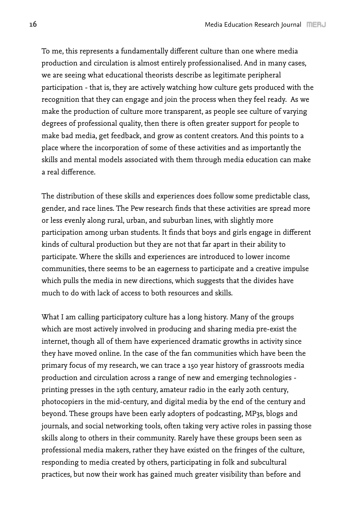To me, this represents a fundamentally different culture than one where media production and circulation is almost entirely professionalised. And in many cases, we are seeing what educational theorists describe as legitimate peripheral participation - that is, they are actively watching how culture gets produced with the recognition that they can engage and join the process when they feel ready. As we make the production of culture more transparent, as people see culture of varying degrees of professional quality, then there is often greater support for people to make bad media, get feedback, and grow as content creators. And this points to a place where the incorporation of some of these activities and as importantly the skills and mental models associated with them through media education can make a real difference.

The distribution of these skills and experiences does follow some predictable class, gender, and race lines. The Pew research finds that these activities are spread more or less evenly along rural, urban, and suburban lines, with slightly more participation among urban students. It finds that boys and girls engage in different kinds of cultural production but they are not that far apart in their ability to participate. Where the skills and experiences are introduced to lower income communities, there seems to be an eagerness to participate and a creative impulse which pulls the media in new directions, which suggests that the divides have much to do with lack of access to both resources and skills.

What I am calling participatory culture has a long history. Many of the groups which are most actively involved in producing and sharing media pre-exist the internet, though all of them have experienced dramatic growths in activity since they have moved online. In the case of the fan communities which have been the primary focus of my research, we can trace a 150 year history of grassroots media production and circulation across a range of new and emerging technologies printing presses in the 19th century, amateur radio in the early 20th century, photocopiers in the mid-century, and digital media by the end of the century and beyond. These groups have been early adopters of podcasting, MP3s, blogs and journals, and social networking tools, often taking very active roles in passing those skills along to others in their community. Rarely have these groups been seen as professional media makers, rather they have existed on the fringes of the culture, responding to media created by others, participating in folk and subcultural practices, but now their work has gained much greater visibility than before and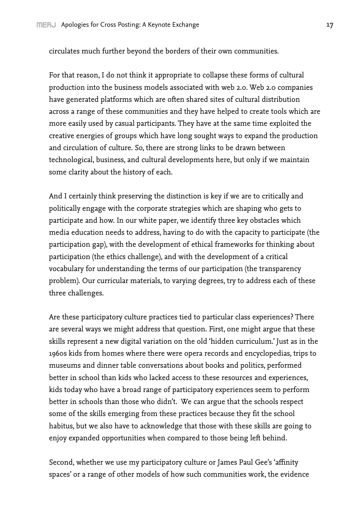circulates much further beyond the borders of their own communities.

For that reason, I do not think it appropriate to collapse these forms of cultural production into the business models associated with web 2.0. Web 2.0 companies have generated platforms which are often shared sites of cultural distribution across a range of these communities and they have helped to create tools which are more easily used by casual participants. They have at the same time exploited the creative energies of groups which have long sought ways to expand the production and circulation of culture. So, there are strong links to be drawn between technological, business, and cultural developments here, but only if we maintain some clarity about the history of each.

And I certainly think preserving the distinction is key if we are to critically and politically engage with the corporate strategies which are shaping who gets to participate and how. In our white paper, we identify three key obstacles which media education needs to address, having to do with the capacity to participate (the participation gap), with the development of ethical frameworks for thinking about participation (the ethics challenge), and with the development of a critical vocabulary for understanding the terms of our participation (the transparency problem). Our curricular materials, to varying degrees, try to address each of these three challenges.

Are these participatory culture practices tied to particular class experiences? There are several ways we might address that question. First, one might argue that these skills represent a new digital variation on the old 'hidden curriculum.' Just as in the 1960s kids from homes where there were opera records and encyclopedias, trips to museums and dinner table conversations about books and politics, performed better in school than kids who lacked access to these resources and experiences, kids today who have a broad range of participatory experiences seem to perform better in schools than those who didn't. We can argue that the schools respect some of the skills emerging from these practices because they fit the school habitus, but we also have to acknowledge that those with these skills are going to enjoy expanded opportunities when compared to those being left behind.

Second, whether we use my participatory culture or James Paul Gee's 'affinity spaces' or a range of other models of how such communities work, the evidence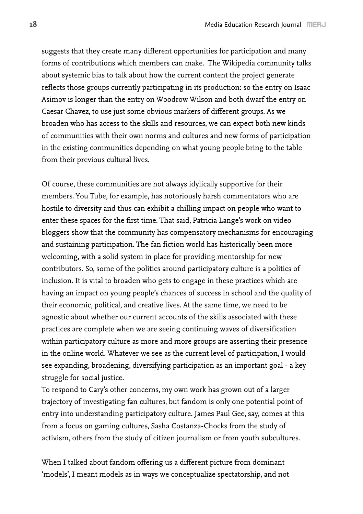suggests that they create many different opportunities for participation and many forms of contributions which members can make. The Wikipedia community talks about systemic bias to talk about how the current content the project generate reflects those groups currently participating in its production: so the entry on Isaac Asimov is longer than the entry on Woodrow Wilson and both dwarf the entry on Caesar Chavez, to use just some obvious markers of different groups. As we broaden who has access to the skills and resources, we can expect both new kinds of communities with their own norms and cultures and new forms of participation in the existing communities depending on what young people bring to the table from their previous cultural lives.

Of course, these communities are not always idylically supportive for their members. You Tube, for example, has notoriously harsh commentators who are hostile to diversity and thus can exhibit a chilling impact on people who want to enter these spaces for the first time. That said, Patricia Lange's work on video bloggers show that the community has compensatory mechanisms for encouraging and sustaining participation. The fan fiction world has historically been more welcoming, with a solid system in place for providing mentorship for new contributors. So, some of the politics around participatory culture is a politics of inclusion. It is vital to broaden who gets to engage in these practices which are having an impact on young people's chances of success in school and the quality of their economic, political, and creative lives. At the same time, we need to be agnostic about whether our current accounts of the skills associated with these practices are complete when we are seeing continuing waves of diversification within participatory culture as more and more groups are asserting their presence in the online world. Whatever we see as the current level of participation, I would see expanding, broadening, diversifying participation as an important goal - a key struggle for social justice.

To respond to Cary's other concerns, my own work has grown out of a larger trajectory of investigating fan cultures, but fandom is only one potential point of entry into understanding participatory culture. James Paul Gee, say, comes at this from a focus on gaming cultures, Sasha Costanza-Chocks from the study of activism, others from the study of citizen journalism or from youth subcultures.

When I talked about fandom offering us a different picture from dominant 'models', I meant models as in ways we conceptualize spectatorship, and not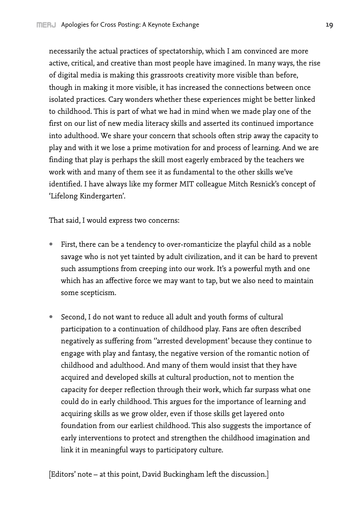necessarily the actual practices of spectatorship, which I am convinced are more active, critical, and creative than most people have imagined. In many ways, the rise of digital media is making this grassroots creativity more visible than before, though in making it more visible, it has increased the connections between once isolated practices. Cary wonders whether these experiences might be better linked to childhood. This is part of what we had in mind when we made play one of the first on our list of new media literacy skills and asserted its continued importance into adulthood. We share your concern that schools often strip away the capacity to play and with it we lose a prime motivation for and process of learning. And we are finding that play is perhaps the skill most eagerly embraced by the teachers we work with and many of them see it as fundamental to the other skills we've identified. I have always like my former MIT colleague Mitch Resnick's concept of 'Lifelong Kindergarten'.

That said, I would express two concerns:

- First, there can be a tendency to over-romanticize the playful child as a noble savage who is not yet tainted by adult civilization, and it can be hard to prevent such assumptions from creeping into our work. It's a powerful myth and one which has an affective force we may want to tap, but we also need to maintain some scepticism.
- Second, I do not want to reduce all adult and youth forms of cultural participation to a continuation of childhood play. Fans are often described negatively as suffering from ''arrested development' because they continue to engage with play and fantasy, the negative version of the romantic notion of childhood and adulthood. And many of them would insist that they have acquired and developed skills at cultural production, not to mention the capacity for deeper reflection through their work, which far surpass what one could do in early childhood. This argues for the importance of learning and acquiring skills as we grow older, even if those skills get layered onto foundation from our earliest childhood. This also suggests the importance of early interventions to protect and strengthen the childhood imagination and link it in meaningful ways to participatory culture.

[Editors' note – at this point, David Buckingham left the discussion.]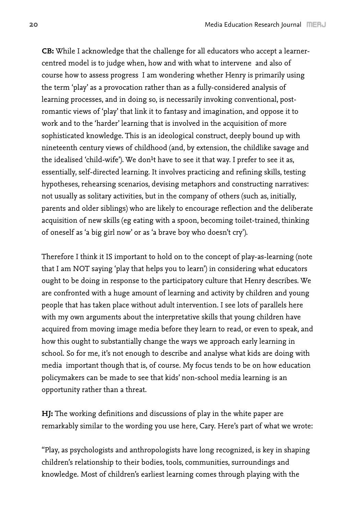**CB:** While I acknowledge that the challenge for all educators who accept a learnercentred model is to judge when, how and with what to intervene and also of course how to assess progress I am wondering whether Henry is primarily using the term 'play' as a provocation rather than as a fully-considered analysis of learning processes, and in doing so, is necessarily invoking conventional, postromantic views of 'play' that link it to fantasy and imagination, and oppose it to work and to the 'harder' learning that is involved in the acquisition of more sophisticated knowledge. This is an ideological construct, deeply bound up with nineteenth century views of childhood (and, by extension, the childlike savage and the idealised 'child-wife'). We don<sup>1</sup>t have to see it that way. I prefer to see it as, essentially, self-directed learning. It involves practicing and refining skills, testing hypotheses, rehearsing scenarios, devising metaphors and constructing narratives: not usually as solitary activities, but in the company of others (such as, initially, parents and older siblings) who are likely to encourage reflection and the deliberate acquisition of new skills (eg eating with a spoon, becoming toilet-trained, thinking of oneself as 'a big girl now' or as 'a brave boy who doesn't cry').

Therefore I think it IS important to hold on to the concept of play-as-learning (note that I am NOT saying 'play that helps you to learn') in considering what educators ought to be doing in response to the participatory culture that Henry describes. We are confronted with a huge amount of learning and activity by children and young people that has taken place without adult intervention. I see lots of parallels here with my own arguments about the interpretative skills that young children have acquired from moving image media before they learn to read, or even to speak, and how this ought to substantially change the ways we approach early learning in school. So for me, it's not enough to describe and analyse what kids are doing with media important though that is, of course. My focus tends to be on how education policymakers can be made to see that kids' non-school media learning is an opportunity rather than a threat.

**HJ:** The working definitions and discussions of play in the white paper are remarkably similar to the wording you use here, Cary. Here's part of what we wrote:

"Play, as psychologists and anthropologists have long recognized, is key in shaping children's relationship to their bodies, tools, communities, surroundings and knowledge. Most of children's earliest learning comes through playing with the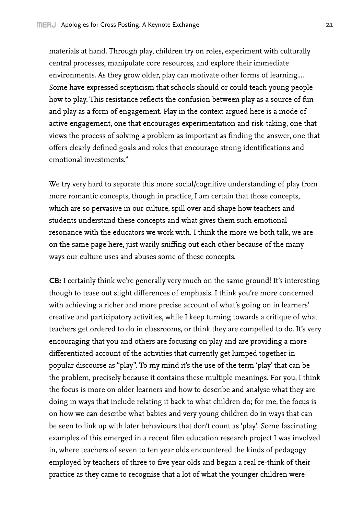materials at hand. Through play, children try on roles, experiment with culturally central processes, manipulate core resources, and explore their immediate environments. As they grow older, play can motivate other forms of learning.... Some have expressed scepticism that schools should or could teach young people how to play. This resistance reflects the confusion between play as a source of fun and play as a form of engagement. Play in the context argued here is a mode of active engagement, one that encourages experimentation and risk-taking, one that views the process of solving a problem as important as finding the answer, one that offers clearly defined goals and roles that encourage strong identifications and emotional investments."

We try very hard to separate this more social/cognitive understanding of play from more romantic concepts, though in practice, I am certain that those concepts, which are so pervasive in our culture, spill over and shape how teachers and students understand these concepts and what gives them such emotional resonance with the educators we work with. I think the more we both talk, we are on the same page here, just warily sniffing out each other because of the many ways our culture uses and abuses some of these concepts.

**CB:** I certainly think we're generally very much on the same ground! It's interesting though to tease out slight differences of emphasis. I think you're more concerned with achieving a richer and more precise account of what's going on in learners' creative and participatory activities, while I keep turning towards a critique of what teachers get ordered to do in classrooms, or think they are compelled to do. It's very encouraging that you and others are focusing on play and are providing a more differentiated account of the activities that currently get lumped together in popular discourse as "play". To my mind it's the use of the term 'play' that can be the problem, precisely because it contains these multiple meanings. For you, I think the focus is more on older learners and how to describe and analyse what they are doing in ways that include relating it back to what children do; for me, the focus is on how we can describe what babies and very young children do in ways that can be seen to link up with later behaviours that don't count as 'play'. Some fascinating examples of this emerged in a recent film education research project I was involved in, where teachers of seven to ten year olds encountered the kinds of pedagogy employed by teachers of three to five year olds and began a real re-think of their practice as they came to recognise that a lot of what the younger children were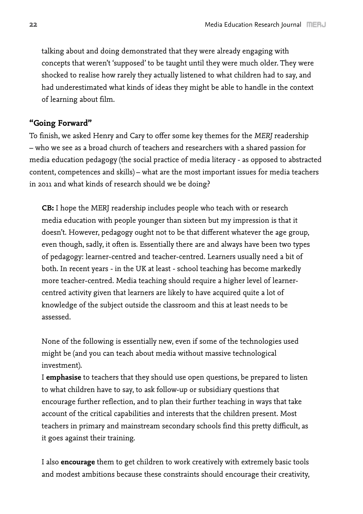talking about and doing demonstrated that they were already engaging with concepts that weren't 'supposed' to be taught until they were much older. They were shocked to realise how rarely they actually listened to what children had to say, and had underestimated what kinds of ideas they might be able to handle in the context of learning about film.

### **"Going Forward"**

To finish, we asked Henry and Cary to offer some key themes for the *MERJ* readership – who we see as a broad church of teachers and researchers with a shared passion for media education pedagogy (the social practice of media literacy - as opposed to abstracted content, competences and skills) – what are the most important issues for media teachers in 2011 and what kinds of research should we be doing?

**CB:** I hope the MERJ readership includes people who teach with or research media education with people younger than sixteen but my impression is that it doesn't. However, pedagogy ought not to be that different whatever the age group, even though, sadly, it often is. Essentially there are and always have been two types of pedagogy: learner-centred and teacher-centred. Learners usually need a bit of both. In recent years - in the UK at least - school teaching has become markedly more teacher-centred. Media teaching should require a higher level of learnercentred activity given that learners are likely to have acquired quite a lot of knowledge of the subject outside the classroom and this at least needs to be assessed.

None of the following is essentially new, even if some of the technologies used might be (and you can teach about media without massive technological investment).

I **emphasise** to teachers that they should use open questions, be prepared to listen to what children have to say, to ask follow-up or subsidiary questions that encourage further reflection, and to plan their further teaching in ways that take account of the critical capabilities and interests that the children present. Most teachers in primary and mainstream secondary schools find this pretty difficult, as it goes against their training.

I also **encourage** them to get children to work creatively with extremely basic tools and modest ambitions because these constraints should encourage their creativity,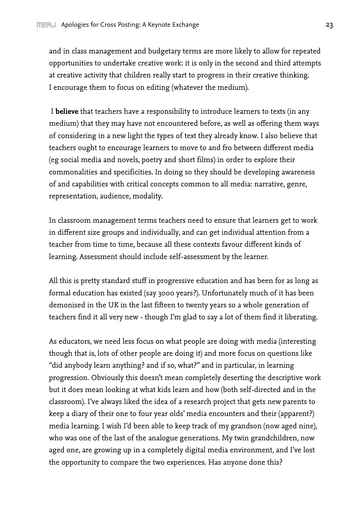and in class management and budgetary terms are more likely to allow for repeated opportunities to undertake creative work: it is only in the second and third attempts at creative activity that children really start to progress in their creative thinking. I encourage them to focus on editing (whatever the medium).

 I **believe** that teachers have a responsibility to introduce learners to texts (in any medium) that they may have not encountered before, as well as offering them ways of considering in a new light the types of text they already know. I also believe that teachers ought to encourage learners to move to and fro between different media (eg social media and novels, poetry and short films) in order to explore their commonalities and specificities. In doing so they should be developing awareness of and capabilities with critical concepts common to all media: narrative, genre, representation, audience, modality.

In classroom management terms teachers need to ensure that learners get to work in different size groups and individually, and can get individual attention from a teacher from time to time, because all these contexts favour different kinds of learning. Assessment should include self-assessment by the learner.

All this is pretty standard stuff in progressive education and has been for as long as formal education has existed (say 3000 years?). Unfortunately much of it has been demonised in the UK in the last fifteen to twenty years so a whole generation of teachers find it all very new - though I'm glad to say a lot of them find it liberating.

As educators, we need less focus on what people are doing with media (interesting though that is, lots of other people are doing it) and more focus on questions like "did anybody learn anything? and if so, what?" and in particular, in learning progression. Obviously this doesn't mean completely deserting the descriptive work but it does mean looking at what kids learn and how (both self-directed and in the classroom). I've always liked the idea of a research project that gets new parents to keep a diary of their one to four year olds' media encounters and their (apparent?) media learning. I wish I'd been able to keep track of my grandson (now aged nine), who was one of the last of the analogue generations. My twin grandchildren, now aged one, are growing up in a completely digital media environment, and I've lost the opportunity to compare the two experiences. Has anyone done this?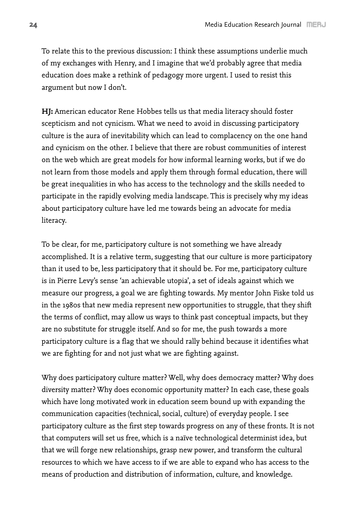To relate this to the previous discussion: I think these assumptions underlie much of my exchanges with Henry, and I imagine that we'd probably agree that media education does make a rethink of pedagogy more urgent. I used to resist this argument but now I don't.

**HJ:** American educator Rene Hobbes tells us that media literacy should foster scepticism and not cynicism. What we need to avoid in discussing participatory culture is the aura of inevitability which can lead to complacency on the one hand and cynicism on the other. I believe that there are robust communities of interest on the web which are great models for how informal learning works, but if we do not learn from those models and apply them through formal education, there will be great inequalities in who has access to the technology and the skills needed to participate in the rapidly evolving media landscape. This is precisely why my ideas about participatory culture have led me towards being an advocate for media literacy.

To be clear, for me, participatory culture is not something we have already accomplished. It is a relative term, suggesting that our culture is more participatory than it used to be, less participatory that it should be. For me, participatory culture is in Pierre Levy's sense 'an achievable utopia', a set of ideals against which we measure our progress, a goal we are fighting towards. My mentor John Fiske told us in the 1980s that new media represent new opportunities to struggle, that they shift the terms of conflict, may allow us ways to think past conceptual impacts, but they are no substitute for struggle itself. And so for me, the push towards a more participatory culture is a flag that we should rally behind because it identifies what we are fighting for and not just what we are fighting against.

Why does participatory culture matter? Well, why does democracy matter? Why does diversity matter? Why does economic opportunity matter? In each case, these goals which have long motivated work in education seem bound up with expanding the communication capacities (technical, social, culture) of everyday people. I see participatory culture as the first step towards progress on any of these fronts. It is not that computers will set us free, which is a naïve technological determinist idea, but that we will forge new relationships, grasp new power, and transform the cultural resources to which we have access to if we are able to expand who has access to the means of production and distribution of information, culture, and knowledge.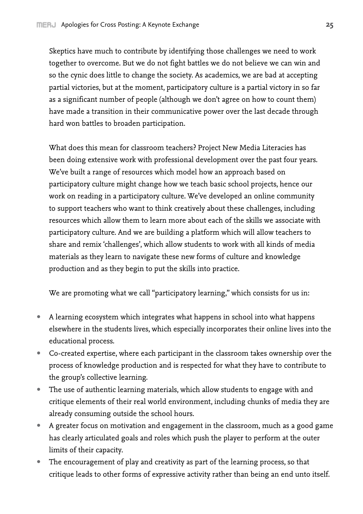Skeptics have much to contribute by identifying those challenges we need to work together to overcome. But we do not fight battles we do not believe we can win and so the cynic does little to change the society. As academics, we are bad at accepting partial victories, but at the moment, participatory culture is a partial victory in so far as a significant number of people (although we don't agree on how to count them) have made a transition in their communicative power over the last decade through hard won battles to broaden participation.

What does this mean for classroom teachers? Project New Media Literacies has been doing extensive work with professional development over the past four years. We've built a range of resources which model how an approach based on participatory culture might change how we teach basic school projects, hence our work on reading in a participatory culture. We've developed an online community to support teachers who want to think creatively about these challenges, including resources which allow them to learn more about each of the skills we associate with participatory culture. And we are building a platform which will allow teachers to share and remix 'challenges', which allow students to work with all kinds of media materials as they learn to navigate these new forms of culture and knowledge production and as they begin to put the skills into practice.

We are promoting what we call "participatory learning," which consists for us in:

- A learning ecosystem which integrates what happens in school into what happens elsewhere in the students lives, which especially incorporates their online lives into the educational process.
- Co-created expertise, where each participant in the classroom takes ownership over the process of knowledge production and is respected for what they have to contribute to the group's collective learning.
- The use of authentic learning materials, which allow students to engage with and critique elements of their real world environment, including chunks of media they are already consuming outside the school hours.
- A greater focus on motivation and engagement in the classroom, much as a good game has clearly articulated goals and roles which push the player to perform at the outer limits of their capacity.
- The encouragement of play and creativity as part of the learning process, so that critique leads to other forms of expressive activity rather than being an end unto itself.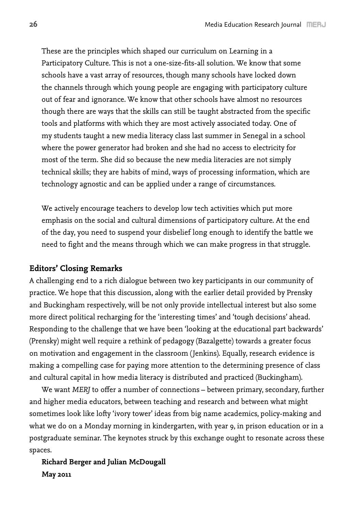These are the principles which shaped our curriculum on Learning in a Participatory Culture. This is not a one-size-fits-all solution. We know that some schools have a vast array of resources, though many schools have locked down the channels through which young people are engaging with participatory culture out of fear and ignorance. We know that other schools have almost no resources though there are ways that the skills can still be taught abstracted from the specific tools and platforms with which they are most actively associated today. One of my students taught a new media literacy class last summer in Senegal in a school where the power generator had broken and she had no access to electricity for most of the term. She did so because the new media literacies are not simply technical skills; they are habits of mind, ways of processing information, which are technology agnostic and can be applied under a range of circumstances.

We actively encourage teachers to develop low tech activities which put more emphasis on the social and cultural dimensions of participatory culture. At the end of the day, you need to suspend your disbelief long enough to identify the battle we need to fight and the means through which we can make progress in that struggle.

#### **Editors' Closing Remarks**

A challenging end to a rich dialogue between two key participants in our community of practice. We hope that this discussion, along with the earlier detail provided by Prensky and Buckingham respectively, will be not only provide intellectual interest but also some more direct political recharging for the 'interesting times' and 'tough decisions' ahead. Responding to the challenge that we have been 'looking at the educational part backwards' (Prensky) might well require a rethink of pedagogy (Bazalgette) towards a greater focus on motivation and engagement in the classroom (Jenkins). Equally, research evidence is making a compelling case for paying more attention to the determining presence of class and cultural capital in how media literacy is distributed and practiced (Buckingham).

We want *MERJ* to offer a number of connections – between primary, secondary, further and higher media educators, between teaching and research and between what might sometimes look like lofty 'ivory tower' ideas from big name academics, policy-making and what we do on a Monday morning in kindergarten, with year 9, in prison education or in a postgraduate seminar. The keynotes struck by this exchange ought to resonate across these spaces.

# **Richard Berger and Julian McDougall May 2011**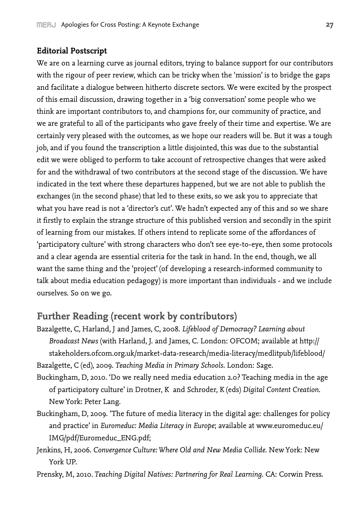#### **Editorial Postscript**

We are on a learning curve as journal editors, trying to balance support for our contributors with the rigour of peer review, which can be tricky when the 'mission' is to bridge the gaps and facilitate a dialogue between hitherto discrete sectors. We were excited by the prospect of this email discussion, drawing together in a 'big conversation' some people who we think are important contributors to, and champions for, our community of practice, and we are grateful to all of the participants who gave freely of their time and expertise. We are certainly very pleased with the outcomes, as we hope our readers will be. But it was a tough job, and if you found the transcription a little disjointed, this was due to the substantial edit we were obliged to perform to take account of retrospective changes that were asked for and the withdrawal of two contributors at the second stage of the discussion. We have indicated in the text where these departures happened, but we are not able to publish the exchanges (in the second phase) that led to these exits, so we ask you to appreciate that what you have read is not a 'director's cut'. We hadn't expected any of this and so we share it firstly to explain the strange structure of this published version and secondly in the spirit of learning from our mistakes. If others intend to replicate some of the affordances of 'participatory culture' with strong characters who don't see eye-to-eye, then some protocols and a clear agenda are essential criteria for the task in hand. In the end, though, we all want the same thing and the 'project' (of developing a research-informed community to talk about media education pedagogy) is more important than individuals - and we include ourselves. So on we go.

# **Further Reading (recent work by contributors)**

- Bazalgette, C, Harland, J and James, C, 2008. *Lifeblood of Democracy? Learning about Broadcast News* (with Harland, J. and James, C. London: OFCOM; available at http:// stakeholders.ofcom.org.uk/market-data-research/media-literacy/medlitpub/lifeblood/ Bazalgette, C (ed), 2009. *Teaching Media in Primary Schools*. London: Sage.
- Buckingham, D, 2010. 'Do we really need media education 2.0? Teaching media in the age of participatory culture' in Drotner, K and Schroder, K (eds) *Digital Content Creation*. New York: Peter Lang.
- Buckingham, D, 2009. 'The future of media literacy in the digital age: challenges for policy and practice' in *Euromeduc: Media Literacy in Europe*; available at www.euromeduc.eu/ IMG/pdf/Euromeduc\_ENG.pdf;
- Jenkins, H, 2006. *Convergence Culture: Where Old and New Media Collide*. New York: New York UP.
- Prensky, M, 2010. *Teaching Digital Natives: Partnering for Real Learning*. CA: Corwin Press.